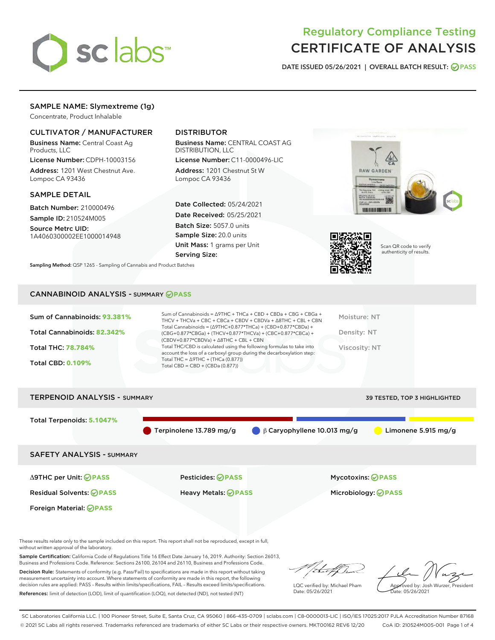

# Regulatory Compliance Testing CERTIFICATE OF ANALYSIS

DATE ISSUED 05/26/2021 | OVERALL BATCH RESULT: @ PASS

# SAMPLE NAME: Slymextreme (1g)

Concentrate, Product Inhalable

# CULTIVATOR / MANUFACTURER

Business Name: Central Coast Ag Products, LLC

License Number: CDPH-10003156 Address: 1201 West Chestnut Ave. Lompoc CA 93436

# SAMPLE DETAIL

Batch Number: 210000496 Sample ID: 210524M005

Source Metrc UID: 1A4060300002EE1000014948

# DISTRIBUTOR

Business Name: CENTRAL COAST AG DISTRIBUTION, LLC

License Number: C11-0000496-LIC Address: 1201 Chestnut St W Lompoc CA 93436

Date Collected: 05/24/2021 Date Received: 05/25/2021 Batch Size: 5057.0 units Sample Size: 20.0 units Unit Mass: 1 grams per Unit Serving Size:





Scan QR code to verify authenticity of results.

Sampling Method: QSP 1265 - Sampling of Cannabis and Product Batches

# CANNABINOID ANALYSIS - SUMMARY **PASS**

| Total Cannabinoids = $(\Delta$ 9THC+0.877*THCa) + (CBD+0.877*CBDa) +<br>Total Cannabinoids: 82.342%<br>Density: NT<br>(CBG+0.877*CBGa) + (THCV+0.877*THCVa) + (CBC+0.877*CBCa) +<br>$(CBDV+0.877*CBDVa) + \Delta 8THC + CBL + CBN$<br>Total THC/CBD is calculated using the following formulas to take into<br>Viscosity: NT<br><b>Total THC: 78.784%</b> |
|-----------------------------------------------------------------------------------------------------------------------------------------------------------------------------------------------------------------------------------------------------------------------------------------------------------------------------------------------------------|
|                                                                                                                                                                                                                                                                                                                                                           |
| account the loss of a carboxyl group during the decarboxylation step:                                                                                                                                                                                                                                                                                     |
| Total THC = $\triangle$ 9THC + (THCa (0.877))<br><b>Total CBD: 0.109%</b><br>Total CBD = $CBD + (CBDa (0.877))$                                                                                                                                                                                                                                           |



These results relate only to the sample included on this report. This report shall not be reproduced, except in full, without written approval of the laboratory.

Sample Certification: California Code of Regulations Title 16 Effect Date January 16, 2019. Authority: Section 26013, Business and Professions Code. Reference: Sections 26100, 26104 and 26110, Business and Professions Code.

Decision Rule: Statements of conformity (e.g. Pass/Fail) to specifications are made in this report without taking measurement uncertainty into account. Where statements of conformity are made in this report, the following decision rules are applied: PASS – Results within limits/specifications, FAIL – Results exceed limits/specifications. References: limit of detection (LOD), limit of quantification (LOQ), not detected (ND), not tested (NT)

that fCh

LQC verified by: Michael Pham Date: 05/26/2021

Approved by: Josh Wurzer, President ate: 05/26/2021

SC Laboratories California LLC. | 100 Pioneer Street, Suite E, Santa Cruz, CA 95060 | 866-435-0709 | sclabs.com | C8-0000013-LIC | ISO/IES 17025:2017 PJLA Accreditation Number 87168 © 2021 SC Labs all rights reserved. Trademarks referenced are trademarks of either SC Labs or their respective owners. MKT00162 REV6 12/20 CoA ID: 210524M005-001 Page 1 of 4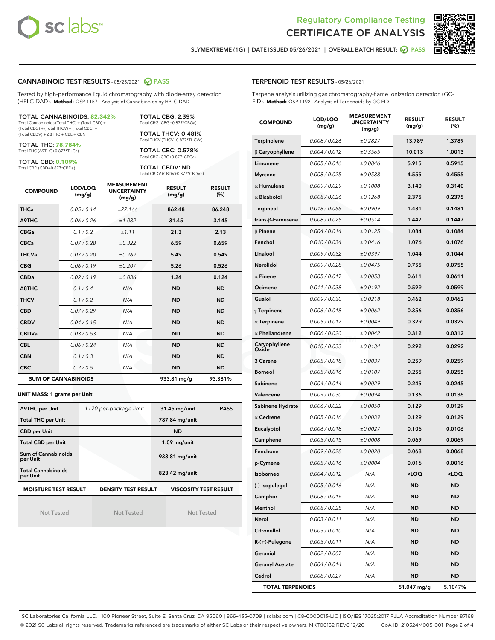



SLYMEXTREME (1G) | DATE ISSUED 05/26/2021 | OVERALL BATCH RESULT: @ PASS

# CANNABINOID TEST RESULTS - 05/25/2021 2 PASS

Tested by high-performance liquid chromatography with diode-array detection (HPLC-DAD). **Method:** QSP 1157 - Analysis of Cannabinoids by HPLC-DAD

#### TOTAL CANNABINOIDS: **82.342%** Total Cannabinoids (Total THC) + (Total CBD) +

(Total CBG) + (Total THCV) + (Total CBC) + (Total CBDV) + ∆8THC + CBL + CBN

TOTAL THC: **78.784%** Total THC (∆9THC+0.877\*THCa)

TOTAL CBD: **0.109%**

Total CBD (CBD+0.877\*CBDa)

TOTAL CBG: 2.39% Total CBG (CBG+0.877\*CBGa)

TOTAL THCV: 0.481% Total THCV (THCV+0.877\*THCVa)

TOTAL CBC: 0.578% Total CBC (CBC+0.877\*CBCa)

TOTAL CBDV: ND Total CBDV (CBDV+0.877\*CBDVa)

| <b>COMPOUND</b> | LOD/LOQ<br>(mg/g)          | <b>MEASUREMENT</b><br><b>UNCERTAINTY</b><br>(mg/g) | <b>RESULT</b><br>(mg/g) | <b>RESULT</b><br>(%) |
|-----------------|----------------------------|----------------------------------------------------|-------------------------|----------------------|
| <b>THCa</b>     | 0.05/0.14                  | ±22.166                                            | 862.48                  | 86.248               |
| <b>A9THC</b>    | 0.06 / 0.26                | ±1.082                                             | 31.45                   | 3.145                |
| <b>CBGa</b>     | 0.1/0.2                    | ±1.11                                              | 21.3                    | 2.13                 |
| <b>CBCa</b>     | 0.07/0.28                  | ±0.322                                             | 6.59                    | 0.659                |
| <b>THCVa</b>    | 0.07/0.20                  | ±0.262                                             | 5.49                    | 0.549                |
| <b>CBG</b>      | 0.06/0.19                  | ±0.207                                             | 5.26                    | 0.526                |
| <b>CBDa</b>     | 0.02/0.19                  | ±0.036                                             | 1.24                    | 0.124                |
| A8THC           | 0.1/0.4                    | N/A                                                | <b>ND</b>               | <b>ND</b>            |
| <b>THCV</b>     | 0.1/0.2                    | N/A                                                | <b>ND</b>               | <b>ND</b>            |
| <b>CBD</b>      | 0.07/0.29                  | N/A                                                | <b>ND</b>               | <b>ND</b>            |
| <b>CBDV</b>     | 0.04 / 0.15                | N/A                                                | <b>ND</b>               | <b>ND</b>            |
| <b>CBDVa</b>    | 0.03/0.53                  | N/A                                                | <b>ND</b>               | <b>ND</b>            |
| <b>CBL</b>      | 0.06 / 0.24                | N/A                                                | <b>ND</b>               | <b>ND</b>            |
| <b>CBN</b>      | 0.1/0.3                    | N/A                                                | <b>ND</b>               | <b>ND</b>            |
| <b>CBC</b>      | 0.2 / 0.5                  | N/A                                                | <b>ND</b>               | <b>ND</b>            |
|                 | <b>SUM OF CANNABINOIDS</b> |                                                    | 933.81 mg/g             | 93.381%              |

#### **UNIT MASS: 1 grams per Unit**

| ∆9THC per Unit                        | 1120 per-package limit     | 31.45 mg/unit<br><b>PASS</b> |  |
|---------------------------------------|----------------------------|------------------------------|--|
| <b>Total THC per Unit</b>             |                            | 787.84 mg/unit               |  |
| <b>CBD per Unit</b>                   |                            | <b>ND</b>                    |  |
| <b>Total CBD per Unit</b>             |                            | $1.09$ mg/unit               |  |
| Sum of Cannabinoids<br>per Unit       |                            | 933.81 mg/unit               |  |
| <b>Total Cannabinoids</b><br>per Unit |                            | 823.42 mg/unit               |  |
| <b>MOISTURE TEST RESULT</b>           | <b>DENSITY TEST RESULT</b> | <b>VISCOSITY TEST RESULT</b> |  |

Not Tested

Not Tested

Not Tested

### TERPENOID TEST RESULTS - 05/26/2021

Terpene analysis utilizing gas chromatography-flame ionization detection (GC-FID). **Method:** QSP 1192 - Analysis of Terpenoids by GC-FID

| <b>COMPOUND</b>         | LOD/LOQ<br>(mg/g) | <b>MEASUREMENT</b><br><b>UNCERTAINTY</b><br>(mg/g) | <b>RESULT</b><br>(mg/g)                          | <b>RESULT</b><br>(%) |
|-------------------------|-------------------|----------------------------------------------------|--------------------------------------------------|----------------------|
| Terpinolene             | 0.008 / 0.026     | ±0.2827                                            | 13.789                                           | 1.3789               |
| $\beta$ Caryophyllene   | 0.004 / 0.012     | ±0.3565                                            | 10.013                                           | 1.0013               |
| Limonene                | 0.005 / 0.016     | ±0.0846                                            | 5.915                                            | 0.5915               |
| <b>Myrcene</b>          | 0.008 / 0.025     | ±0.0588                                            | 4.555                                            | 0.4555               |
| $\alpha$ Humulene       | 0.009/0.029       | ±0.1008                                            | 3.140                                            | 0.3140               |
| $\alpha$ Bisabolol      | 0.008 / 0.026     | ±0.1268                                            | 2.375                                            | 0.2375               |
| <b>Terpineol</b>        | 0.016 / 0.055     | ±0.0909                                            | 1.481                                            | 0.1481               |
| trans-ß-Farnesene       | 0.008 / 0.025     | ±0.0514                                            | 1.447                                            | 0.1447               |
| $\beta$ Pinene          | 0.004 / 0.014     | ±0.0125                                            | 1.084                                            | 0.1084               |
| Fenchol                 | 0.010 / 0.034     | ±0.0416                                            | 1.076                                            | 0.1076               |
| Linalool                | 0.009 / 0.032     | ±0.0397                                            | 1.044                                            | 0.1044               |
| <b>Nerolidol</b>        | 0.009 / 0.028     | ±0.0475                                            | 0.755                                            | 0.0755               |
| $\alpha$ Pinene         | 0.005 / 0.017     | ±0.0053                                            | 0.611                                            | 0.0611               |
| Ocimene                 | 0.011 / 0.038     | ±0.0192                                            | 0.599                                            | 0.0599               |
| Guaiol                  | 0.009 / 0.030     | ±0.0218                                            | 0.462                                            | 0.0462               |
| $\gamma$ Terpinene      | 0.006 / 0.018     | ±0.0062                                            | 0.356                                            | 0.0356               |
| $\alpha$ Terpinene      | 0.005 / 0.017     | ±0.0049                                            | 0.329                                            | 0.0329               |
| $\alpha$ Phellandrene   | 0.006 / 0.020     | ±0.0042                                            | 0.312                                            | 0.0312               |
| Caryophyllene<br>Oxide  | 0.010 / 0.033     | ±0.0134                                            | 0.292                                            | 0.0292               |
| 3 Carene                | 0.005 / 0.018     | ±0.0037                                            | 0.259                                            | 0.0259               |
| <b>Borneol</b>          | 0.005 / 0.016     | ±0.0107                                            | 0.255                                            | 0.0255               |
| Sabinene                | 0.004 / 0.014     | ±0.0029                                            | 0.245                                            | 0.0245               |
| Valencene               | 0.009 / 0.030     | ±0.0094                                            | 0.136                                            | 0.0136               |
| Sabinene Hydrate        | 0.006 / 0.022     | ±0.0050                                            | 0.129                                            | 0.0129               |
| $\alpha$ Cedrene        | 0.005 / 0.016     | ±0.0039                                            | 0.129                                            | 0.0129               |
| Eucalyptol              | 0.006 / 0.018     | ±0.0027                                            | 0.106                                            | 0.0106               |
| Camphene                | 0.005 / 0.015     | ±0.0008                                            | 0.069                                            | 0.0069               |
| Fenchone                | 0.009 / 0.028     | ±0.0020                                            | 0.068                                            | 0.0068               |
| p-Cymene                | 0.005 / 0.016     | ±0.0004                                            | 0.016                                            | 0.0016               |
| <b>Isoborneol</b>       | 0.004 / 0.012     | N/A                                                | <loq< th=""><th><math>&lt;</math>LOQ</th></loq<> | $<$ LOQ              |
| (-)-Isopulegol          | 0.005 / 0.016     | N/A                                                | ND                                               | ND                   |
| Camphor                 | 0.006 / 0.019     | N/A                                                | ND                                               | ND                   |
| Menthol                 | 0.008 / 0.025     | N/A                                                | <b>ND</b>                                        | ND                   |
| Nerol                   | 0.003 / 0.011     | N/A                                                | <b>ND</b>                                        | ND                   |
| Citronellol             | 0.003 / 0.010     | N/A                                                | ND                                               | ND                   |
| R-(+)-Pulegone          | 0.003 / 0.011     | N/A                                                | ND                                               | ND                   |
| Geraniol                | 0.002 / 0.007     | N/A                                                | <b>ND</b>                                        | ND                   |
| <b>Geranyl Acetate</b>  | 0.004 / 0.014     | N/A                                                | ND                                               | ND                   |
| Cedrol                  | 0.008 / 0.027     | N/A                                                | <b>ND</b>                                        | ND                   |
| <b>TOTAL TERPENOIDS</b> |                   |                                                    | 51.047 mg/g                                      | 5.1047%              |

SC Laboratories California LLC. | 100 Pioneer Street, Suite E, Santa Cruz, CA 95060 | 866-435-0709 | sclabs.com | C8-0000013-LIC | ISO/IES 17025:2017 PJLA Accreditation Number 87168 © 2021 SC Labs all rights reserved. Trademarks referenced are trademarks of either SC Labs or their respective owners. MKT00162 REV6 12/20 CoA ID: 210524M005-001 Page 2 of 4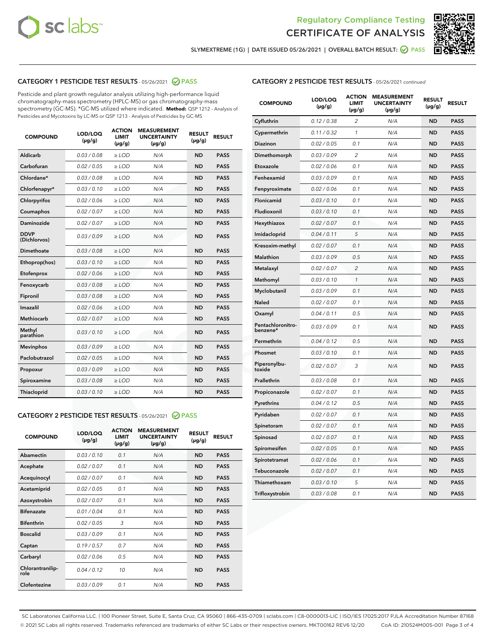



SLYMEXTREME (1G) | DATE ISSUED 05/26/2021 | OVERALL BATCH RESULT: @ PASS

# CATEGORY 1 PESTICIDE TEST RESULTS - 05/26/2021 2 PASS

Pesticide and plant growth regulator analysis utilizing high-performance liquid chromatography-mass spectrometry (HPLC-MS) or gas chromatography-mass spectrometry (GC-MS). \*GC-MS utilized where indicated. **Method:** QSP 1212 - Analysis of Pesticides and Mycotoxins by LC-MS or QSP 1213 - Analysis of Pesticides by GC-MS

| 0.03/0.08<br><b>ND</b><br>Aldicarb<br>$>$ LOD<br>N/A<br><b>PASS</b><br>Carbofuran<br>0.02 / 0.05<br><b>ND</b><br><b>PASS</b><br>$>$ LOD<br>N/A<br>Chlordane*<br>0.03 / 0.08<br>N/A<br><b>ND</b><br><b>PASS</b><br>$\ge$ LOD<br>Chlorfenapyr*<br>0.03/0.10<br><b>ND</b><br><b>PASS</b><br>$\ge$ LOD<br>N/A<br>N/A<br><b>ND</b><br><b>PASS</b><br>Chlorpyrifos<br>0.02 / 0.06<br>$\ge$ LOD<br>Coumaphos<br>0.02 / 0.07<br>N/A<br><b>ND</b><br><b>PASS</b><br>$\ge$ LOD<br>Daminozide<br>0.02 / 0.07<br>N/A<br><b>ND</b><br><b>PASS</b><br>$\ge$ LOD<br><b>DDVP</b><br>0.03/0.09<br>$>$ LOD<br>N/A<br><b>ND</b><br><b>PASS</b><br>(Dichlorvos)<br>Dimethoate<br>0.03/0.08<br>$>$ LOD<br>N/A<br><b>ND</b><br><b>PASS</b><br>0.03/0.10<br><b>ND</b><br><b>PASS</b><br>Ethoprop(hos)<br>$\ge$ LOD<br>N/A<br>0.02 / 0.06<br>N/A<br><b>ND</b><br><b>PASS</b><br>Etofenprox<br>$\ge$ LOD<br>Fenoxycarb<br>0.03 / 0.08<br>N/A<br><b>ND</b><br><b>PASS</b><br>$\ge$ LOD<br>0.03/0.08<br><b>ND</b><br><b>PASS</b><br>Fipronil<br>$\ge$ LOD<br>N/A<br>Imazalil<br>0.02 / 0.06<br>$\ge$ LOD<br>N/A<br><b>ND</b><br><b>PASS</b><br>Methiocarb<br>0.02 / 0.07<br><b>PASS</b><br>$\ge$ LOD<br>N/A<br><b>ND</b><br>Methyl<br>0.03/0.10<br>$\ge$ LOD<br>N/A<br><b>ND</b><br><b>PASS</b><br>parathion<br>0.03/0.09<br><b>ND</b><br><b>Mevinphos</b><br>$\ge$ LOD<br>N/A<br><b>PASS</b><br>Paclobutrazol<br>0.02 / 0.05<br>$\ge$ LOD<br>N/A<br><b>ND</b><br><b>PASS</b><br>0.03/0.09<br>$\ge$ LOD<br>N/A<br><b>ND</b><br><b>PASS</b><br>Propoxur<br>Spiroxamine<br>0.03 / 0.08<br>$\ge$ LOD<br>N/A<br><b>ND</b><br><b>PASS</b><br>0.03/0.10<br><b>ND</b><br><b>PASS</b><br><b>Thiacloprid</b><br>$\ge$ LOD<br>N/A | <b>COMPOUND</b> | LOD/LOQ<br>$(\mu g/g)$ | <b>ACTION</b><br>LIMIT<br>$(\mu g/g)$ | <b>MEASUREMENT</b><br><b>UNCERTAINTY</b><br>$(\mu g/g)$ | <b>RESULT</b><br>$(\mu g/g)$ | <b>RESULT</b> |
|----------------------------------------------------------------------------------------------------------------------------------------------------------------------------------------------------------------------------------------------------------------------------------------------------------------------------------------------------------------------------------------------------------------------------------------------------------------------------------------------------------------------------------------------------------------------------------------------------------------------------------------------------------------------------------------------------------------------------------------------------------------------------------------------------------------------------------------------------------------------------------------------------------------------------------------------------------------------------------------------------------------------------------------------------------------------------------------------------------------------------------------------------------------------------------------------------------------------------------------------------------------------------------------------------------------------------------------------------------------------------------------------------------------------------------------------------------------------------------------------------------------------------------------------------------------------------------------------------------------------------------------------------------------------------------------------|-----------------|------------------------|---------------------------------------|---------------------------------------------------------|------------------------------|---------------|
|                                                                                                                                                                                                                                                                                                                                                                                                                                                                                                                                                                                                                                                                                                                                                                                                                                                                                                                                                                                                                                                                                                                                                                                                                                                                                                                                                                                                                                                                                                                                                                                                                                                                                              |                 |                        |                                       |                                                         |                              |               |
|                                                                                                                                                                                                                                                                                                                                                                                                                                                                                                                                                                                                                                                                                                                                                                                                                                                                                                                                                                                                                                                                                                                                                                                                                                                                                                                                                                                                                                                                                                                                                                                                                                                                                              |                 |                        |                                       |                                                         |                              |               |
|                                                                                                                                                                                                                                                                                                                                                                                                                                                                                                                                                                                                                                                                                                                                                                                                                                                                                                                                                                                                                                                                                                                                                                                                                                                                                                                                                                                                                                                                                                                                                                                                                                                                                              |                 |                        |                                       |                                                         |                              |               |
|                                                                                                                                                                                                                                                                                                                                                                                                                                                                                                                                                                                                                                                                                                                                                                                                                                                                                                                                                                                                                                                                                                                                                                                                                                                                                                                                                                                                                                                                                                                                                                                                                                                                                              |                 |                        |                                       |                                                         |                              |               |
|                                                                                                                                                                                                                                                                                                                                                                                                                                                                                                                                                                                                                                                                                                                                                                                                                                                                                                                                                                                                                                                                                                                                                                                                                                                                                                                                                                                                                                                                                                                                                                                                                                                                                              |                 |                        |                                       |                                                         |                              |               |
|                                                                                                                                                                                                                                                                                                                                                                                                                                                                                                                                                                                                                                                                                                                                                                                                                                                                                                                                                                                                                                                                                                                                                                                                                                                                                                                                                                                                                                                                                                                                                                                                                                                                                              |                 |                        |                                       |                                                         |                              |               |
|                                                                                                                                                                                                                                                                                                                                                                                                                                                                                                                                                                                                                                                                                                                                                                                                                                                                                                                                                                                                                                                                                                                                                                                                                                                                                                                                                                                                                                                                                                                                                                                                                                                                                              |                 |                        |                                       |                                                         |                              |               |
|                                                                                                                                                                                                                                                                                                                                                                                                                                                                                                                                                                                                                                                                                                                                                                                                                                                                                                                                                                                                                                                                                                                                                                                                                                                                                                                                                                                                                                                                                                                                                                                                                                                                                              |                 |                        |                                       |                                                         |                              |               |
|                                                                                                                                                                                                                                                                                                                                                                                                                                                                                                                                                                                                                                                                                                                                                                                                                                                                                                                                                                                                                                                                                                                                                                                                                                                                                                                                                                                                                                                                                                                                                                                                                                                                                              |                 |                        |                                       |                                                         |                              |               |
|                                                                                                                                                                                                                                                                                                                                                                                                                                                                                                                                                                                                                                                                                                                                                                                                                                                                                                                                                                                                                                                                                                                                                                                                                                                                                                                                                                                                                                                                                                                                                                                                                                                                                              |                 |                        |                                       |                                                         |                              |               |
|                                                                                                                                                                                                                                                                                                                                                                                                                                                                                                                                                                                                                                                                                                                                                                                                                                                                                                                                                                                                                                                                                                                                                                                                                                                                                                                                                                                                                                                                                                                                                                                                                                                                                              |                 |                        |                                       |                                                         |                              |               |
|                                                                                                                                                                                                                                                                                                                                                                                                                                                                                                                                                                                                                                                                                                                                                                                                                                                                                                                                                                                                                                                                                                                                                                                                                                                                                                                                                                                                                                                                                                                                                                                                                                                                                              |                 |                        |                                       |                                                         |                              |               |
|                                                                                                                                                                                                                                                                                                                                                                                                                                                                                                                                                                                                                                                                                                                                                                                                                                                                                                                                                                                                                                                                                                                                                                                                                                                                                                                                                                                                                                                                                                                                                                                                                                                                                              |                 |                        |                                       |                                                         |                              |               |
|                                                                                                                                                                                                                                                                                                                                                                                                                                                                                                                                                                                                                                                                                                                                                                                                                                                                                                                                                                                                                                                                                                                                                                                                                                                                                                                                                                                                                                                                                                                                                                                                                                                                                              |                 |                        |                                       |                                                         |                              |               |
|                                                                                                                                                                                                                                                                                                                                                                                                                                                                                                                                                                                                                                                                                                                                                                                                                                                                                                                                                                                                                                                                                                                                                                                                                                                                                                                                                                                                                                                                                                                                                                                                                                                                                              |                 |                        |                                       |                                                         |                              |               |
|                                                                                                                                                                                                                                                                                                                                                                                                                                                                                                                                                                                                                                                                                                                                                                                                                                                                                                                                                                                                                                                                                                                                                                                                                                                                                                                                                                                                                                                                                                                                                                                                                                                                                              |                 |                        |                                       |                                                         |                              |               |
|                                                                                                                                                                                                                                                                                                                                                                                                                                                                                                                                                                                                                                                                                                                                                                                                                                                                                                                                                                                                                                                                                                                                                                                                                                                                                                                                                                                                                                                                                                                                                                                                                                                                                              |                 |                        |                                       |                                                         |                              |               |
|                                                                                                                                                                                                                                                                                                                                                                                                                                                                                                                                                                                                                                                                                                                                                                                                                                                                                                                                                                                                                                                                                                                                                                                                                                                                                                                                                                                                                                                                                                                                                                                                                                                                                              |                 |                        |                                       |                                                         |                              |               |
|                                                                                                                                                                                                                                                                                                                                                                                                                                                                                                                                                                                                                                                                                                                                                                                                                                                                                                                                                                                                                                                                                                                                                                                                                                                                                                                                                                                                                                                                                                                                                                                                                                                                                              |                 |                        |                                       |                                                         |                              |               |
|                                                                                                                                                                                                                                                                                                                                                                                                                                                                                                                                                                                                                                                                                                                                                                                                                                                                                                                                                                                                                                                                                                                                                                                                                                                                                                                                                                                                                                                                                                                                                                                                                                                                                              |                 |                        |                                       |                                                         |                              |               |
|                                                                                                                                                                                                                                                                                                                                                                                                                                                                                                                                                                                                                                                                                                                                                                                                                                                                                                                                                                                                                                                                                                                                                                                                                                                                                                                                                                                                                                                                                                                                                                                                                                                                                              |                 |                        |                                       |                                                         |                              |               |

# CATEGORY 2 PESTICIDE TEST RESULTS - 05/26/2021 @ PASS

| <b>COMPOUND</b>          | LOD/LOO<br>$(\mu g/g)$ | <b>ACTION</b><br>LIMIT<br>$(\mu g/g)$ | <b>MEASUREMENT</b><br><b>UNCERTAINTY</b><br>$(\mu g/g)$ | <b>RESULT</b><br>$(\mu g/g)$ | <b>RESULT</b> |  |
|--------------------------|------------------------|---------------------------------------|---------------------------------------------------------|------------------------------|---------------|--|
| Abamectin                | 0.03/0.10              | 0.1                                   | N/A                                                     | <b>ND</b>                    | <b>PASS</b>   |  |
| Acephate                 | 0.02/0.07              | 0.1                                   | N/A                                                     | <b>ND</b>                    | <b>PASS</b>   |  |
| Acequinocyl              | 0.02/0.07              | 0.1                                   | N/A                                                     | <b>ND</b>                    | <b>PASS</b>   |  |
| Acetamiprid              | 0.02/0.05              | 0.1                                   | N/A                                                     | <b>ND</b>                    | <b>PASS</b>   |  |
| Azoxystrobin             | 0.02/0.07              | 0.1                                   | N/A                                                     | <b>ND</b>                    | <b>PASS</b>   |  |
| <b>Bifenazate</b>        | 0.01/0.04              | 0.1                                   | N/A                                                     | <b>ND</b>                    | <b>PASS</b>   |  |
| <b>Bifenthrin</b>        | 0.02/0.05              | 3                                     | N/A                                                     | <b>ND</b>                    | <b>PASS</b>   |  |
| <b>Boscalid</b>          | 0.03/0.09              | 0.1                                   | N/A                                                     | <b>ND</b>                    | <b>PASS</b>   |  |
| Captan                   | 0.19/0.57              | 0.7                                   | N/A                                                     | <b>ND</b>                    | <b>PASS</b>   |  |
| Carbaryl                 | 0.02/0.06              | 0.5                                   | N/A                                                     | <b>ND</b>                    | <b>PASS</b>   |  |
| Chlorantranilip-<br>role | 0.04/0.12              | 10                                    | N/A                                                     | <b>ND</b>                    | <b>PASS</b>   |  |
| Clofentezine             | 0.03/0.09              | 0.1                                   | N/A                                                     | <b>ND</b>                    | <b>PASS</b>   |  |

# CATEGORY 2 PESTICIDE TEST RESULTS - 05/26/2021 continued

| <b>COMPOUND</b>               | LOD/LOQ<br>(µg/g) | <b>ACTION</b><br><b>LIMIT</b><br>(µg/g) | <b>MEASUREMENT</b><br><b>UNCERTAINTY</b><br>$(\mu g/g)$ | <b>RESULT</b><br>(µg/g) | <b>RESULT</b> |
|-------------------------------|-------------------|-----------------------------------------|---------------------------------------------------------|-------------------------|---------------|
| Cyfluthrin                    | 0.12 / 0.38       | $\overline{c}$                          | N/A                                                     | <b>ND</b>               | <b>PASS</b>   |
| Cypermethrin                  | 0.11 / 0.32       | $\mathcal{I}$                           | N/A                                                     | <b>ND</b>               | <b>PASS</b>   |
| <b>Diazinon</b>               | 0.02 / 0.05       | 0.1                                     | N/A                                                     | <b>ND</b>               | <b>PASS</b>   |
| Dimethomorph                  | 0.03 / 0.09       | 2                                       | N/A                                                     | <b>ND</b>               | <b>PASS</b>   |
| Etoxazole                     | 0.02 / 0.06       | 0.1                                     | N/A                                                     | <b>ND</b>               | <b>PASS</b>   |
| Fenhexamid                    | 0.03 / 0.09       | 0.1                                     | N/A                                                     | <b>ND</b>               | <b>PASS</b>   |
| Fenpyroximate                 | 0.02 / 0.06       | 0.1                                     | N/A                                                     | <b>ND</b>               | <b>PASS</b>   |
| Flonicamid                    | 0.03/0.10         | 0.1                                     | N/A                                                     | <b>ND</b>               | <b>PASS</b>   |
| Fludioxonil                   | 0.03/0.10         | 0.1                                     | N/A                                                     | <b>ND</b>               | <b>PASS</b>   |
| Hexythiazox                   | 0.02 / 0.07       | 0.1                                     | N/A                                                     | <b>ND</b>               | <b>PASS</b>   |
| Imidacloprid                  | 0.04 / 0.11       | 5                                       | N/A                                                     | <b>ND</b>               | <b>PASS</b>   |
| Kresoxim-methyl               | 0.02 / 0.07       | 0.1                                     | N/A                                                     | <b>ND</b>               | <b>PASS</b>   |
| Malathion                     | 0.03 / 0.09       | 0.5                                     | N/A                                                     | <b>ND</b>               | <b>PASS</b>   |
| Metalaxyl                     | 0.02 / 0.07       | $\overline{c}$                          | N/A                                                     | <b>ND</b>               | <b>PASS</b>   |
| Methomyl                      | 0.03/0.10         | 1                                       | N/A                                                     | <b>ND</b>               | <b>PASS</b>   |
| Myclobutanil                  | 0.03 / 0.09       | 0.1                                     | N/A                                                     | <b>ND</b>               | <b>PASS</b>   |
| Naled                         | 0.02 / 0.07       | 0.1                                     | N/A                                                     | <b>ND</b>               | <b>PASS</b>   |
| Oxamyl                        | 0.04 / 0.11       | 0.5                                     | N/A                                                     | ND                      | <b>PASS</b>   |
| Pentachloronitro-<br>benzene* | 0.03 / 0.09       | 0.1                                     | N/A                                                     | <b>ND</b>               | <b>PASS</b>   |
| Permethrin                    | 0.04 / 0.12       | 0.5                                     | N/A                                                     | <b>ND</b>               | <b>PASS</b>   |
| Phosmet                       | 0.03 / 0.10       | 0.1                                     | N/A                                                     | <b>ND</b>               | <b>PASS</b>   |
| Piperonylbu-<br>toxide        | 0.02 / 0.07       | 3                                       | N/A                                                     | <b>ND</b>               | <b>PASS</b>   |
| Prallethrin                   | 0.03 / 0.08       | 0.1                                     | N/A                                                     | <b>ND</b>               | <b>PASS</b>   |
| Propiconazole                 | 0.02 / 0.07       | 0.1                                     | N/A                                                     | <b>ND</b>               | <b>PASS</b>   |
| Pyrethrins                    | 0.04 / 0.12       | 0.5                                     | N/A                                                     | <b>ND</b>               | <b>PASS</b>   |
| Pyridaben                     | 0.02 / 0.07       | 0.1                                     | N/A                                                     | <b>ND</b>               | <b>PASS</b>   |
| Spinetoram                    | 0.02 / 0.07       | 0.1                                     | N/A                                                     | <b>ND</b>               | <b>PASS</b>   |
| Spinosad                      | 0.02 / 0.07       | 0.1                                     | N/A                                                     | <b>ND</b>               | <b>PASS</b>   |
| Spiromesifen                  | 0.02 / 0.05       | 0.1                                     | N/A                                                     | <b>ND</b>               | <b>PASS</b>   |
| Spirotetramat                 | 0.02 / 0.06       | 0.1                                     | N/A                                                     | <b>ND</b>               | <b>PASS</b>   |
| Tebuconazole                  | 0.02 / 0.07       | 0.1                                     | N/A                                                     | <b>ND</b>               | <b>PASS</b>   |
| Thiamethoxam                  | 0.03 / 0.10       | 5                                       | N/A                                                     | <b>ND</b>               | <b>PASS</b>   |
| Trifloxystrobin               | 0.03 / 0.08       | 0.1                                     | N/A                                                     | <b>ND</b>               | <b>PASS</b>   |

SC Laboratories California LLC. | 100 Pioneer Street, Suite E, Santa Cruz, CA 95060 | 866-435-0709 | sclabs.com | C8-0000013-LIC | ISO/IES 17025:2017 PJLA Accreditation Number 87168 © 2021 SC Labs all rights reserved. Trademarks referenced are trademarks of either SC Labs or their respective owners. MKT00162 REV6 12/20 CoA ID: 210524M005-001 Page 3 of 4